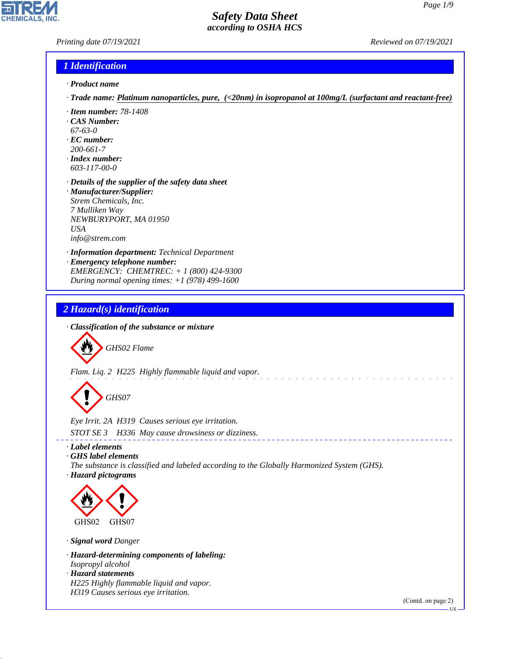### *Printing date 07/19/2021 Reviewed on 07/19/2021*

**CHEMICALS** 

#### *1 Identification*

- *· Product name*
- *· Trade name: Platinum nanoparticles, pure, (<20nm) in isopropanol at 100mg/L (surfactant and reactant-free)*
- *· Item number: 78-1408*
- *· CAS Number:*
- *67-63-0*
- *· EC number: 200-661-7*
- *· Index number: 603-117-00-0*
- *· Details of the supplier of the safety data sheet*
- *· Manufacturer/Supplier: Strem Chemicals, Inc. 7 Mulliken Way NEWBURYPORT, MA 01950 USA info@strem.com*
- *· Information department: Technical Department*
- *· Emergency telephone number: EMERGENCY: CHEMTREC: + 1 (800) 424-9300 During normal opening times: +1 (978) 499-1600*

### *2 Hazard(s) identification*

*· Classification of the substance or mixture*

d~*GHS02 Flame*

*Flam. Liq. 2 H225 Highly flammable liquid and vapor.*

d~*GHS07*

*Eye Irrit. 2A H319 Causes serious eye irritation. STOT SE 3 H336 May cause drowsiness or dizziness.*

*· Label elements*

*· GHS label elements*

*The substance is classified and labeled according to the Globally Harmonized System (GHS).*

 $\sim 100$ 

*· Hazard pictograms*



*· Signal word Danger*

44.1.1

- *· Hazard-determining components of labeling: Isopropyl alcohol*
- *· Hazard statements H225 Highly flammable liquid and vapor. H319 Causes serious eye irritation.*

(Contd. on page 2)

US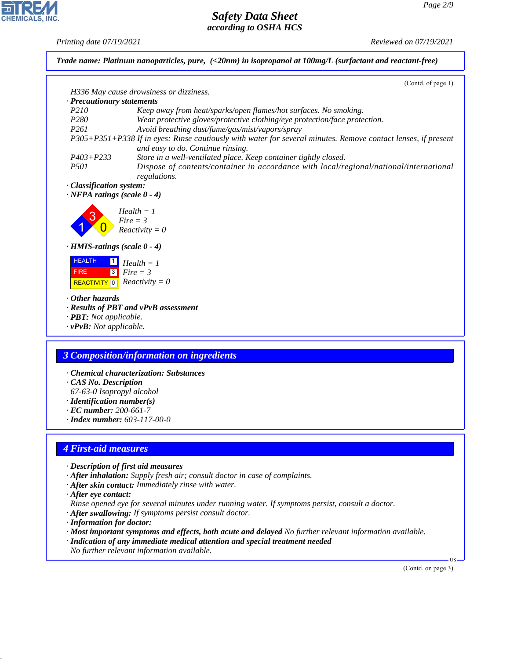*Printing date 07/19/2021 Reviewed on 07/19/2021*

**EDIREAL** 

44.1.1

|                                                                                           | (Contd. of page 1)                                                                                                                                 |
|-------------------------------------------------------------------------------------------|----------------------------------------------------------------------------------------------------------------------------------------------------|
|                                                                                           | H336 May cause drowsiness or dizziness.                                                                                                            |
| · Precautionary statements                                                                |                                                                                                                                                    |
| P210                                                                                      | Keep away from heat/sparks/open flames/hot surfaces. No smoking.                                                                                   |
| P280                                                                                      | Wear protective gloves/protective clothing/eye protection/face protection.                                                                         |
| P <sub>261</sub>                                                                          | Avoid breathing dust/fume/gas/mist/vapors/spray                                                                                                    |
|                                                                                           | P305+P351+P338 If in eyes: Rinse cautiously with water for several minutes. Remove contact lenses, if present<br>and easy to do. Continue rinsing. |
| $P403 + P233$                                                                             | Store in a well-ventilated place. Keep container tightly closed.                                                                                   |
| P501                                                                                      | Dispose of contents/container in accordance with local/regional/national/international<br>regulations.                                             |
| · Classification system:                                                                  |                                                                                                                                                    |
| $\cdot$ NFPA ratings (scale 0 - 4)                                                        |                                                                                                                                                    |
|                                                                                           |                                                                                                                                                    |
|                                                                                           | $Health = 1$                                                                                                                                       |
|                                                                                           | $Fire = 3$                                                                                                                                         |
|                                                                                           | $Reactivity = 0$                                                                                                                                   |
| · HMIS-ratings (scale 0 - 4)                                                              |                                                                                                                                                    |
|                                                                                           |                                                                                                                                                    |
| <b>HEALTH</b><br>$\boxed{1}$                                                              | $Health = 1$                                                                                                                                       |
| <b>FIRE</b><br> 3                                                                         | $Fire = 3$                                                                                                                                         |
|                                                                                           | REACTIVITY 0 $Reactivity = 0$                                                                                                                      |
| $\cdot$ Other hazards<br>· <b>PBT</b> : Not applicable.<br>$\cdot v$ PvB: Not applicable. | · Results of PBT and vPvB assessment                                                                                                               |
|                                                                                           |                                                                                                                                                    |
|                                                                                           | <b>3 Composition/information on ingredients</b>                                                                                                    |
|                                                                                           |                                                                                                                                                    |
|                                                                                           | · Chemical characterization: Substances                                                                                                            |
| · CAS No. Description                                                                     |                                                                                                                                                    |
| 67-63-0 Isopropyl alcohol                                                                 |                                                                                                                                                    |
| $\cdot$ Identification number(s)                                                          |                                                                                                                                                    |
| $\cdot$ EC number: 200-661-7                                                              | $\cdot$ Index number: 603-117-00-0                                                                                                                 |
|                                                                                           |                                                                                                                                                    |
| <b>4 First-aid measures</b>                                                               |                                                                                                                                                    |
|                                                                                           |                                                                                                                                                    |
|                                                                                           | · Description of first aid measures                                                                                                                |
|                                                                                           | · After inhalation: Supply fresh air; consult doctor in case of complaints.                                                                        |
|                                                                                           | · After skin contact: Immediately rinse with water.                                                                                                |
| · After eye contact:                                                                      |                                                                                                                                                    |
|                                                                                           | Rinse opened eye for several minutes under running water. If symptoms persist, consult a doctor.                                                   |
|                                                                                           | · After swallowing: If symptoms persist consult doctor.                                                                                            |
| · Information for doctor:                                                                 | $\cdot$ Most important symptoms and effects, both acute and delayed No further relevant information available.                                     |

(Contd. on page 3)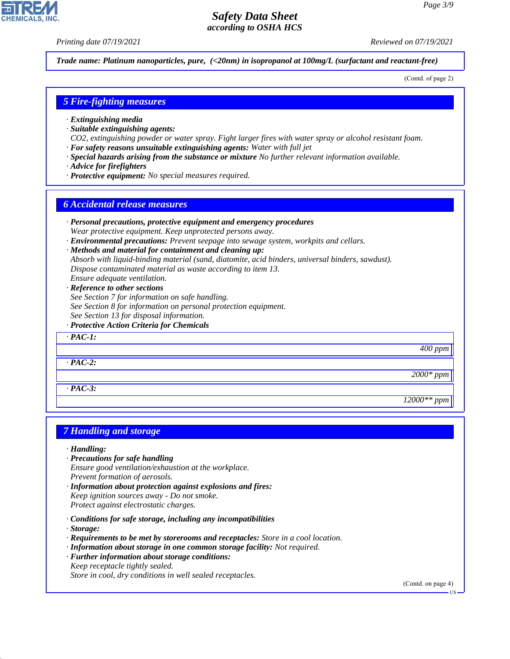*Printing date 07/19/2021 Reviewed on 07/19/2021*

*Trade name: Platinum nanoparticles, pure, (<20nm) in isopropanol at 100mg/L (surfactant and reactant-free)*

(Contd. of page 2)

#### *5 Fire-fighting measures*

- *· Extinguishing media*
- *· Suitable extinguishing agents:*
- *CO2, extinguishing powder or water spray. Fight larger fires with water spray or alcohol resistant foam.*
- *· For safety reasons unsuitable extinguishing agents: Water with full jet*
- *· Special hazards arising from the substance or mixture No further relevant information available.*
- *· Advice for firefighters*
- *· Protective equipment: No special measures required.*

#### *6 Accidental release measures*

- *· Personal precautions, protective equipment and emergency procedures Wear protective equipment. Keep unprotected persons away.*
- *· Environmental precautions: Prevent seepage into sewage system, workpits and cellars.*
- *· Methods and material for containment and cleaning up: Absorb with liquid-binding material (sand, diatomite, acid binders, universal binders, sawdust). Dispose contaminated material as waste according to item 13. Ensure adequate ventilation.*
- *· Reference to other sections See Section 7 for information on safe handling. See Section 8 for information on personal protection equipment.*
- *See Section 13 for disposal information.*
- *· Protective Action Criteria for Chemicals*

*· PAC-1:*

*· PAC-2:*

*· PAC-3:*

#### *7 Handling and storage*

*· Handling:*

- *· Precautions for safe handling Ensure good ventilation/exhaustion at the workplace. Prevent formation of aerosols.*
- *· Information about protection against explosions and fires: Keep ignition sources away - Do not smoke.*
- *Protect against electrostatic charges.*
- *· Conditions for safe storage, including any incompatibilities*
- *· Storage:*

44.1.1

- *· Requirements to be met by storerooms and receptacles: Store in a cool location.*
- *· Information about storage in one common storage facility: Not required.*
- *· Further information about storage conditions:*

*Keep receptacle tightly sealed. Store in cool, dry conditions in well sealed receptacles.*

(Contd. on page 4)

*400 ppm*

*2000\* ppm*

*12000\*\* ppm*

**US**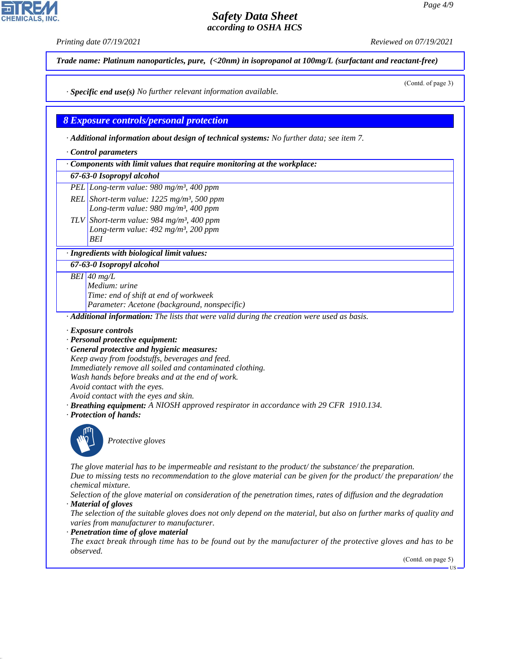(Contd. of page 3)

## *Safety Data Sheet according to OSHA HCS*

*Printing date 07/19/2021 Reviewed on 07/19/2021*

*Trade name: Platinum nanoparticles, pure, (<20nm) in isopropanol at 100mg/L (surfactant and reactant-free)*

*· Specific end use(s) No further relevant information available.*

*8 Exposure controls/personal protection*

*· Additional information about design of technical systems: No further data; see item 7.*

*· Control parameters*

*· Components with limit values that require monitoring at the workplace:*

#### *67-63-0 Isopropyl alcohol*

*PEL Long-term value: 980 mg/m³, 400 ppm*

*REL Short-term value: 1225 mg/m³, 500 ppm Long-term value: 980 mg/m³, 400 ppm*

*TLV Short-term value: 984 mg/m³, 400 ppm Long-term value: 492 mg/m³, 200 ppm BEI*

*· Ingredients with biological limit values:*

*67-63-0 Isopropyl alcohol*

*BEI 40 mg/L*

*Medium: urine Time: end of shift at end of workweek Parameter: Acetone (background, nonspecific)*

*· Additional information: The lists that were valid during the creation were used as basis.*

- *· Exposure controls*
- *· Personal protective equipment:*
- *· General protective and hygienic measures:*

*Keep away from foodstuffs, beverages and feed. Immediately remove all soiled and contaminated clothing. Wash hands before breaks and at the end of work. Avoid contact with the eyes.*

- *Avoid contact with the eyes and skin.*
- *· Breathing equipment: A NIOSH approved respirator in accordance with 29 CFR 1910.134.*
- *· Protection of hands:*



44.1.1

\_S*Protective gloves*

*The glove material has to be impermeable and resistant to the product/ the substance/ the preparation. Due to missing tests no recommendation to the glove material can be given for the product/ the preparation/ the chemical mixture.*

*Selection of the glove material on consideration of the penetration times, rates of diffusion and the degradation · Material of gloves*

*The selection of the suitable gloves does not only depend on the material, but also on further marks of quality and varies from manufacturer to manufacturer.*

*· Penetration time of glove material*

*The exact break through time has to be found out by the manufacturer of the protective gloves and has to be observed.*

(Contd. on page 5)

US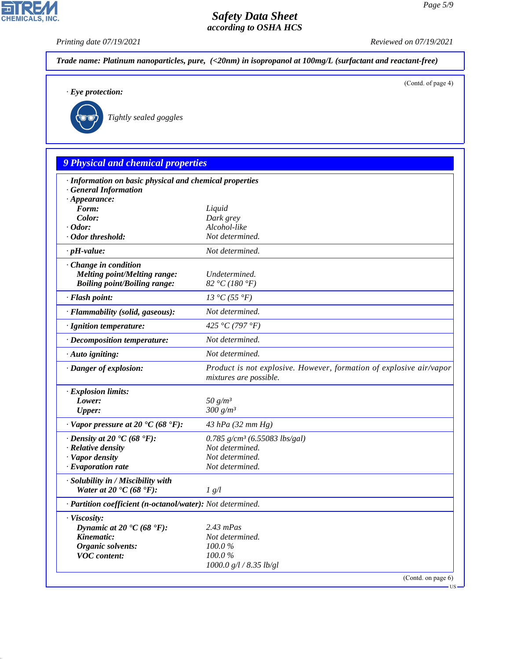*Printing date 07/19/2021 Reviewed on 07/19/2021*

CHEMICALS, INC.

44.1.1

| $\cdot$ Eye protection:                                                           | (Contd. of page 4)                                                                            |
|-----------------------------------------------------------------------------------|-----------------------------------------------------------------------------------------------|
|                                                                                   |                                                                                               |
| Tightly sealed goggles                                                            |                                                                                               |
|                                                                                   |                                                                                               |
|                                                                                   |                                                                                               |
| 9 Physical and chemical properties                                                |                                                                                               |
| · Information on basic physical and chemical properties                           |                                                                                               |
| · General Information<br>$\cdot$ Appearance:                                      |                                                                                               |
| Form:                                                                             | Liquid                                                                                        |
| Color:                                                                            | Dark grey                                                                                     |
| $\cdot$ Odor:                                                                     | Alcohol-like                                                                                  |
| · Odor threshold:                                                                 | Not determined.                                                                               |
| $\cdot$ pH-value:                                                                 | Not determined.                                                                               |
| Change in condition<br><b>Melting point/Melting range:</b>                        | Undetermined.                                                                                 |
| <b>Boiling point/Boiling range:</b>                                               | 82 °C (180 °F)                                                                                |
| · Flash point:                                                                    | 13 °C (55 °F)                                                                                 |
| · Flammability (solid, gaseous):                                                  | Not determined.                                                                               |
| · Ignition temperature:                                                           | 425 °C (797 °F)                                                                               |
| · Decomposition temperature:                                                      | Not determined.                                                                               |
| · Auto igniting:                                                                  | Not determined.                                                                               |
| · Danger of explosion:                                                            | Product is not explosive. However, formation of explosive air/vapor<br>mixtures are possible. |
| · Explosion limits:                                                               |                                                                                               |
| Lower:                                                                            | 50 $g/m^3$<br>300 g/m <sup>3</sup>                                                            |
| <b>Upper:</b>                                                                     |                                                                                               |
| $\cdot$ Vapor pressure at 20 °C (68 °F):                                          | 43 hPa (32 mm Hg)                                                                             |
| $\cdot$ Density at 20 $\textdegree$ C (68 $\textdegree$ F):<br>· Relative density | 0.785 g/cm <sup>3</sup> (6.55083 lbs/gal)<br>Not determined.                                  |
| · Vapor density                                                                   | Not determined.                                                                               |
| · Evaporation rate                                                                | Not determined.                                                                               |
| · Solubility in / Miscibility with                                                |                                                                                               |
| Water at 20 $\textdegree$ C (68 $\textdegree$ F):                                 | 1 g/l                                                                                         |
| · Partition coefficient (n-octanol/water): Not determined.                        |                                                                                               |
| · Viscosity:                                                                      |                                                                                               |
| Dynamic at 20 $\textdegree$ C (68 $\textdegree$ F):<br>Kinematic:                 | $2.43$ mPas<br>Not determined.                                                                |
| Organic solvents:                                                                 | 100.0%                                                                                        |
| <b>VOC</b> content:                                                               | 100.0%                                                                                        |
|                                                                                   | 1000.0 g/l / 8.35 lb/gl                                                                       |
|                                                                                   | (Contd. on page 6)                                                                            |
|                                                                                   |                                                                                               |
|                                                                                   |                                                                                               |
|                                                                                   |                                                                                               |
|                                                                                   |                                                                                               |
|                                                                                   |                                                                                               |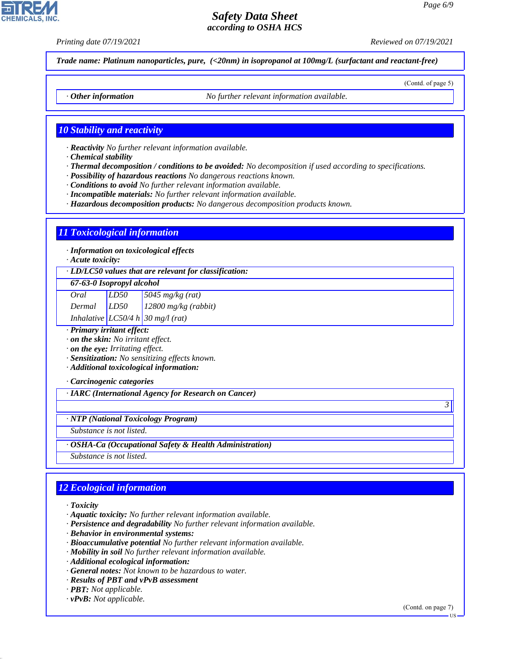*Printing date 07/19/2021 Reviewed on 07/19/2021*

(Contd. of page 5)

*Trade name: Platinum nanoparticles, pure, (<20nm) in isopropanol at 100mg/L (surfactant and reactant-free)*

*· Other information No further relevant information available.*

#### *10 Stability and reactivity*

*· Reactivity No further relevant information available.*

*· Chemical stability*

- *· Thermal decomposition / conditions to be avoided: No decomposition if used according to specifications.*
- *· Possibility of hazardous reactions No dangerous reactions known.*
- *· Conditions to avoid No further relevant information available.*
- *· Incompatible materials: No further relevant information available.*
- *· Hazardous decomposition products: No dangerous decomposition products known.*

#### *11 Toxicological information*

*· Information on toxicological effects*

*· Acute toxicity:*

*· LD/LC50 values that are relevant for classification:*

#### *67-63-0 Isopropyl alcohol*

| Oral            | LD50 | $5045$ mg/kg (rat)                    |
|-----------------|------|---------------------------------------|
| $Dermal$ $LD50$ |      | $12800$ mg/kg (rabbit)                |
|                 |      | Inhalative $LC50/4 h   30 mg/l$ (rat) |

*· Primary irritant effect:*

*· on the skin: No irritant effect.*

*· on the eye: Irritating effect.*

*· Sensitization: No sensitizing effects known.*

*· Additional toxicological information:*

*· Carcinogenic categories*

*· IARC (International Agency for Research on Cancer)*

*· NTP (National Toxicology Program)*

*Substance is not listed.*

*· OSHA-Ca (Occupational Safety & Health Administration)*

*Substance is not listed.*

# *12 Ecological information*

*· Toxicity*

44.1.1

*· Aquatic toxicity: No further relevant information available.*

- *· Persistence and degradability No further relevant information available.*
- *· Behavior in environmental systems:*
- *· Bioaccumulative potential No further relevant information available.*
- *· Mobility in soil No further relevant information available.*
- *· Additional ecological information:*
- *· General notes: Not known to be hazardous to water.*
- *· Results of PBT and vPvB assessment*
- *· PBT: Not applicable.*
- *· vPvB: Not applicable.*

(Contd. on page 7)

*3* 

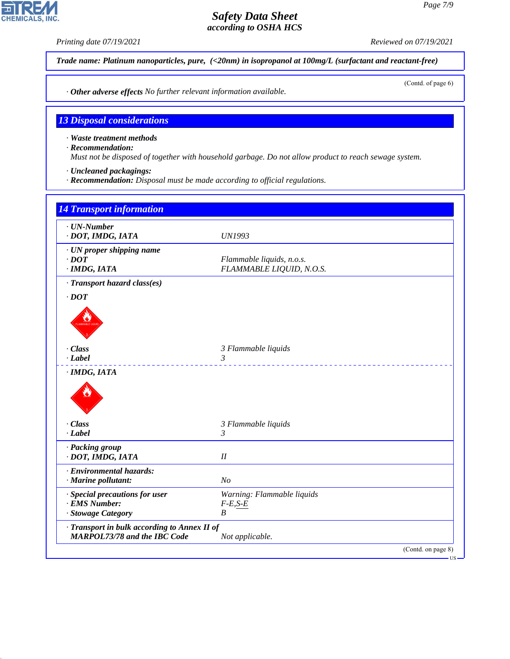

44.1.1

**CHEMICALS, INC**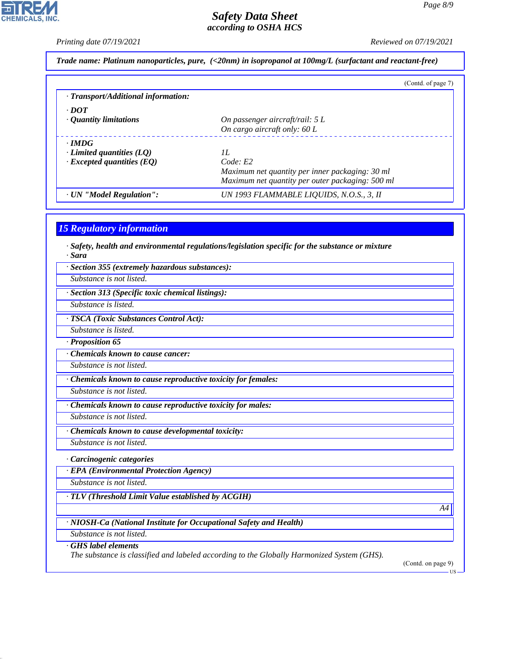*Printing date 07/19/2021 Reviewed on 07/19/2021*

*Trade name: Platinum nanoparticles, pure, (<20nm) in isopropanol at 100mg/L (surfactant and reactant-free)*

|                                                                                     | (Contd. of page 7)                                                                                                     |
|-------------------------------------------------------------------------------------|------------------------------------------------------------------------------------------------------------------------|
| · Transport/Additional information:                                                 |                                                                                                                        |
| $\cdot$ DOT<br>• Quantity limitations                                               | On passenger aircraft/rail: $5 L$<br>On cargo aircraft only: 60 L                                                      |
| $\cdot$ IMDG<br>$\cdot$ Limited quantities (LQ)<br>$\cdot$ Excepted quantities (EQ) | II.<br>Code: E2<br>Maximum net quantity per inner packaging: 30 ml<br>Maximum net quantity per outer packaging: 500 ml |
| · UN "Model Regulation":                                                            | UN 1993 FLAMMABLE LIQUIDS, N.O.S., 3, II                                                                               |

#### *15 Regulatory information*

*· Safety, health and environmental regulations/legislation specific for the substance or mixture · Sara*

*· Section 355 (extremely hazardous substances):*

*Substance is not listed.*

*· Section 313 (Specific toxic chemical listings):*

*Substance is listed.*

*· TSCA (Toxic Substances Control Act):*

*Substance is listed.*

*· Proposition 65*

*· Chemicals known to cause cancer:*

*Substance is not listed.*

*· Chemicals known to cause reproductive toxicity for females:*

*Substance is not listed.*

*· Chemicals known to cause reproductive toxicity for males:*

*Substance is not listed.*

*· Chemicals known to cause developmental toxicity:*

*Substance is not listed.*

*· Carcinogenic categories*

*· EPA (Environmental Protection Agency)*

*Substance is not listed.*

*· TLV (Threshold Limit Value established by ACGIH)*

*· NIOSH-Ca (National Institute for Occupational Safety and Health)*

*Substance is not listed.*

*· GHS label elements*

44.1.1

*The substance is classified and labeled according to the Globally Harmonized System (GHS).*

(Contd. on page 9)

*A4*

US